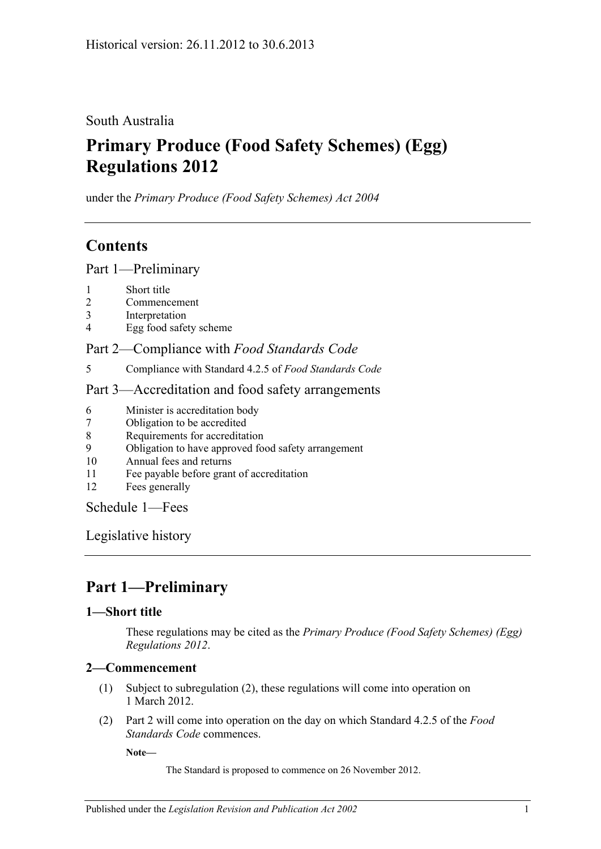## South Australia

# **Primary Produce (Food Safety Schemes) (Egg) Regulations 2012**

under the *Primary Produce (Food Safety Schemes) Act 2004*

## **Contents**

Part [1—Preliminary](#page-0-0)

- 1 [Short title](#page-0-1)
- 2 [Commencement](#page-0-2)
- 3 [Interpretation](#page-1-0)
- 4 [Egg food safety scheme](#page-1-1)

### Part 2—Compliance with *[Food Standards Code](#page-1-2)*

5 [Compliance with Standard](#page-1-3) 4.2.5 of *Food Standards Code*

### Part [3—Accreditation and food safety arrangements](#page-1-4)

- 6 [Minister is accreditation body](#page-1-5)
- 7 [Obligation to be accredited](#page-1-6)
- 8 [Requirements for accreditation](#page-2-0)
- 9 [Obligation to have approved food safety arrangement](#page-2-1)
- 10 [Annual fees and returns](#page-2-2)
- 11 [Fee payable before grant of accreditation](#page-2-3)
- 12 [Fees generally](#page-2-4)

[Schedule](#page-2-5) 1—Fees

[Legislative history](#page-4-0)

# <span id="page-0-0"></span>**Part 1—Preliminary**

### <span id="page-0-1"></span>**1—Short title**

These regulations may be cited as the *Primary Produce (Food Safety Schemes) (Egg) Regulations 2012*.

### <span id="page-0-2"></span>**2—Commencement**

- (1) Subject to [subregulation](#page-0-3) (2), these regulations will come into operation on 1 March 2012.
- <span id="page-0-3"></span>(2) [Part](#page-1-2) 2 will come into operation on the day on which Standard 4.2.5 of the *Food Standards Code* commences.

**Note—**

The Standard is proposed to commence on 26 November 2012.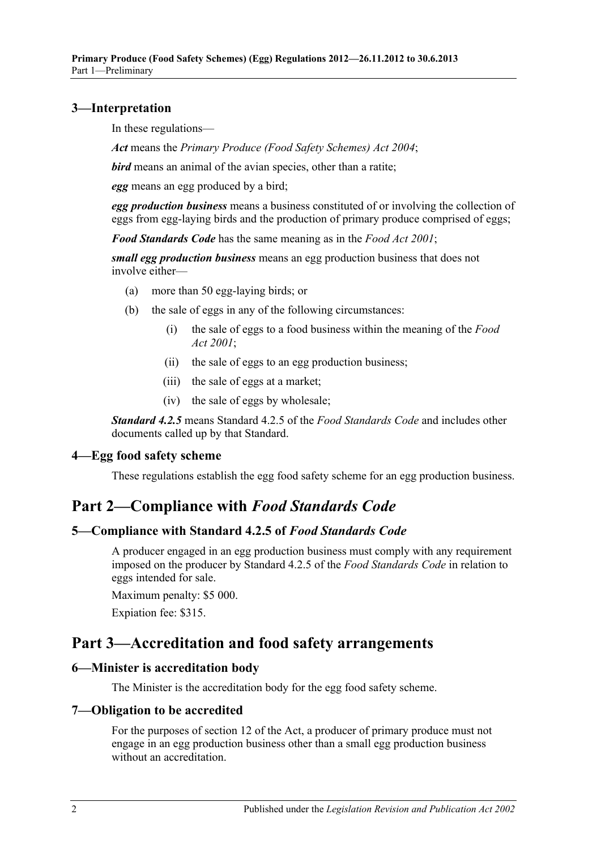### <span id="page-1-0"></span>**3—Interpretation**

In these regulations—

*Act* means the *[Primary Produce \(Food Safety Schemes\) Act](http://www.legislation.sa.gov.au/index.aspx?action=legref&type=act&legtitle=Primary%20Produce%20(Food%20Safety%20Schemes)%20Act%202004) 2004*;

*bird* means an animal of the avian species, other than a ratite;

*egg* means an egg produced by a bird;

*egg production business* means a business constituted of or involving the collection of eggs from egg-laying birds and the production of primary produce comprised of eggs;

*Food Standards Code* has the same meaning as in the *[Food Act](http://www.legislation.sa.gov.au/index.aspx?action=legref&type=act&legtitle=Food%20Act%202001) 2001*;

*small egg production business* means an egg production business that does not involve either—

- (a) more than 50 egg-laying birds; or
- (b) the sale of eggs in any of the following circumstances:
	- (i) the sale of eggs to a food business within the meaning of the *[Food](http://www.legislation.sa.gov.au/index.aspx?action=legref&type=act&legtitle=Food%20Act%202001)  Act [2001](http://www.legislation.sa.gov.au/index.aspx?action=legref&type=act&legtitle=Food%20Act%202001)*;
	- (ii) the sale of eggs to an egg production business;
	- (iii) the sale of eggs at a market;
	- (iv) the sale of eggs by wholesale;

*Standard 4.2.5* means Standard 4.2.5 of the *Food Standards Code* and includes other documents called up by that Standard.

### <span id="page-1-1"></span>**4—Egg food safety scheme**

These regulations establish the egg food safety scheme for an egg production business.

## <span id="page-1-2"></span>**Part 2—Compliance with** *Food Standards Code*

#### <span id="page-1-3"></span>**5—Compliance with Standard 4.2.5 of** *Food Standards Code*

A producer engaged in an egg production business must comply with any requirement imposed on the producer by Standard 4.2.5 of the *Food Standards Code* in relation to eggs intended for sale.

Maximum penalty: \$5 000.

Expiation fee: \$315.

## <span id="page-1-4"></span>**Part 3—Accreditation and food safety arrangements**

#### <span id="page-1-5"></span>**6—Minister is accreditation body**

The Minister is the accreditation body for the egg food safety scheme.

#### <span id="page-1-6"></span>**7—Obligation to be accredited**

For the purposes of section 12 of the Act, a producer of primary produce must not engage in an egg production business other than a small egg production business without an accreditation.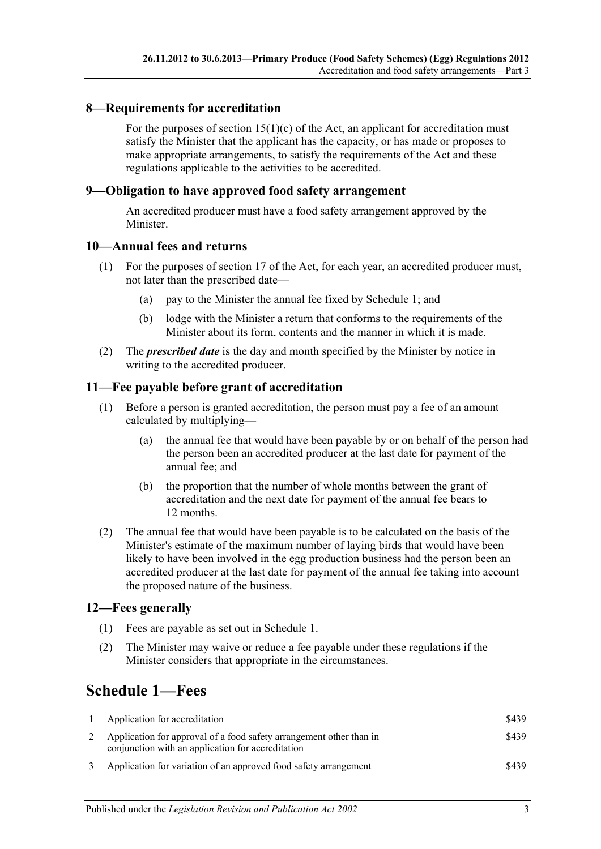### <span id="page-2-0"></span>**8—Requirements for accreditation**

For the purposes of section  $15(1)(c)$  of the Act, an applicant for accreditation must satisfy the Minister that the applicant has the capacity, or has made or proposes to make appropriate arrangements, to satisfy the requirements of the Act and these regulations applicable to the activities to be accredited.

#### <span id="page-2-1"></span>**9—Obligation to have approved food safety arrangement**

An accredited producer must have a food safety arrangement approved by the Minister.

#### <span id="page-2-2"></span>**10—Annual fees and returns**

- (1) For the purposes of section 17 of the Act, for each year, an accredited producer must, not later than the prescribed date—
	- (a) pay to the Minister the annual fee fixed by Schedule 1; and
	- (b) lodge with the Minister a return that conforms to the requirements of the Minister about its form, contents and the manner in which it is made.
- (2) The *prescribed date* is the day and month specified by the Minister by notice in writing to the accredited producer.

#### <span id="page-2-3"></span>**11—Fee payable before grant of accreditation**

- (1) Before a person is granted accreditation, the person must pay a fee of an amount calculated by multiplying—
	- (a) the annual fee that would have been payable by or on behalf of the person had the person been an accredited producer at the last date for payment of the annual fee; and
	- (b) the proportion that the number of whole months between the grant of accreditation and the next date for payment of the annual fee bears to 12 months.
- (2) The annual fee that would have been payable is to be calculated on the basis of the Minister's estimate of the maximum number of laying birds that would have been likely to have been involved in the egg production business had the person been an accredited producer at the last date for payment of the annual fee taking into account the proposed nature of the business.

#### <span id="page-2-4"></span>**12—Fees generally**

- (1) Fees are payable as set out in Schedule 1.
- (2) The Minister may waive or reduce a fee payable under these regulations if the Minister considers that appropriate in the circumstances.

## <span id="page-2-5"></span>**Schedule 1—Fees**

| $\mathbf{1}$ | Application for accreditation                                                                                            | \$439 |
|--------------|--------------------------------------------------------------------------------------------------------------------------|-------|
|              | Application for approval of a food safety arrangement other than in<br>conjunction with an application for accreditation | \$439 |
|              | Application for variation of an approved food safety arrangement                                                         | \$439 |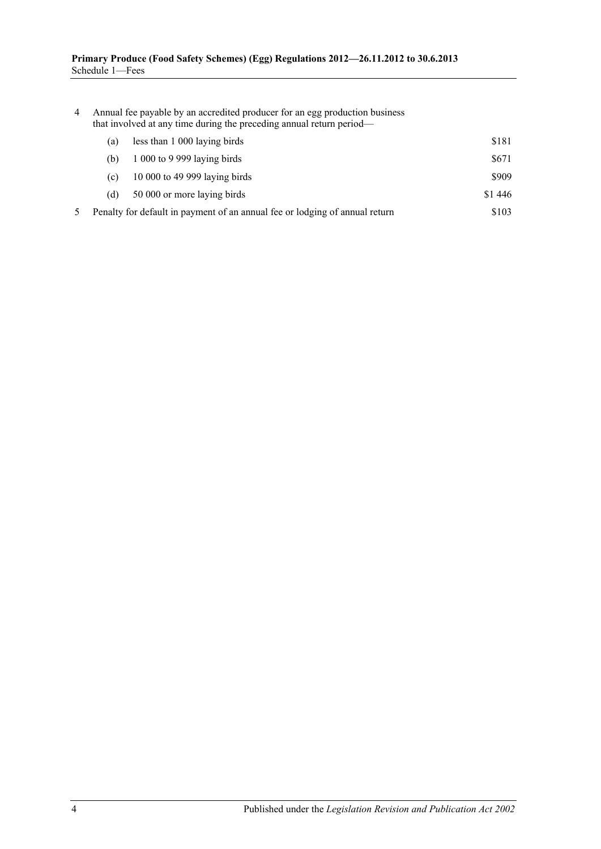| 4 | Annual fee payable by an accredited producer for an egg production business<br>that involved at any time during the preceding annual return period- |                                                                             |         |  |
|---|-----------------------------------------------------------------------------------------------------------------------------------------------------|-----------------------------------------------------------------------------|---------|--|
|   | (a)                                                                                                                                                 | less than 1 000 laying birds                                                | \$181   |  |
|   | (b)                                                                                                                                                 | $1000$ to 9 999 laying birds                                                | \$671   |  |
|   | (c)                                                                                                                                                 | 10 000 to 49 999 laying birds                                               | \$909   |  |
|   | (d)                                                                                                                                                 | 50 000 or more laying birds                                                 | \$1 446 |  |
|   |                                                                                                                                                     | Penalty for default in payment of an annual fee or lodging of annual return | \$103   |  |